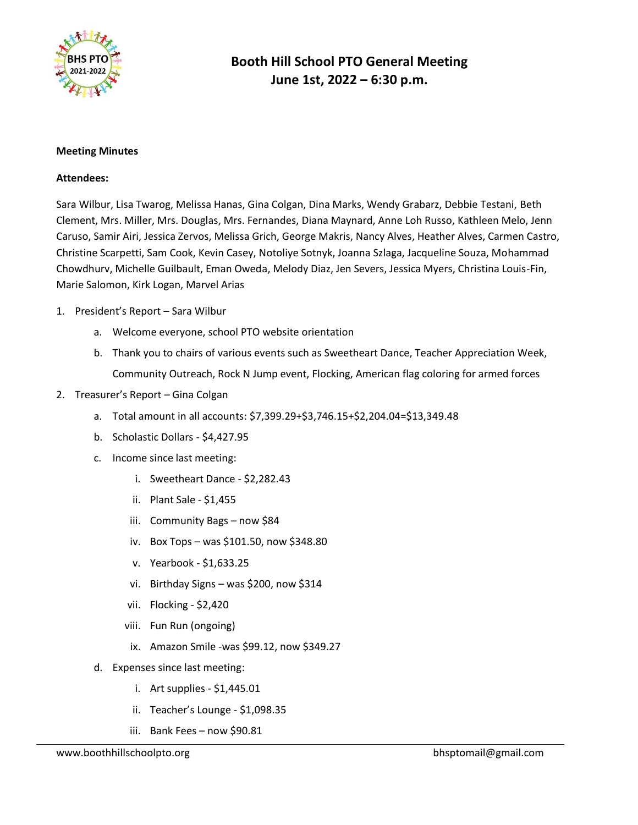

### **Meeting Minutes**

### **Attendees:**

Sara Wilbur, Lisa Twarog, Melissa Hanas, Gina Colgan, Dina Marks, Wendy Grabarz, Debbie Testani, Beth Clement, Mrs. Miller, Mrs. Douglas, Mrs. Fernandes, Diana Maynard, Anne Loh Russo, Kathleen Melo, Jenn Caruso, Samir Airi, Jessica Zervos, Melissa Grich, George Makris, Nancy Alves, Heather Alves, Carmen Castro, Christine Scarpetti, Sam Cook, Kevin Casey, Notoliye Sotnyk, Joanna Szlaga, Jacqueline Souza, Mohammad Chowdhurv, Michelle Guilbault, Eman Oweda, Melody Diaz, Jen Severs, Jessica Myers, Christina Louis-Fin, Marie Salomon, Kirk Logan, Marvel Arias

- 1. President's Report Sara Wilbur
	- a. Welcome everyone, school PTO website orientation
	- b. Thank you to chairs of various events such as Sweetheart Dance, Teacher Appreciation Week, Community Outreach, Rock N Jump event, Flocking, American flag coloring for armed forces
- 2. Treasurer's Report Gina Colgan
	- a. Total amount in all accounts: \$7,399.29+\$3,746.15+\$2,204.04=\$13,349.48
	- b. Scholastic Dollars \$4,427.95
	- c. Income since last meeting:
		- i. Sweetheart Dance \$2,282.43
		- ii. Plant Sale \$1,455
		- iii. Community Bags now \$84
		- iv. Box Tops was \$101.50, now \$348.80
		- v. Yearbook \$1,633.25
		- vi. Birthday Signs was \$200, now \$314
		- vii. Flocking \$2,420
		- viii. Fun Run (ongoing)
		- ix. Amazon Smile -was \$99.12, now \$349.27
	- d. Expenses since last meeting:
		- i. Art supplies \$1,445.01
		- ii. Teacher's Lounge \$1,098.35
		- iii. Bank Fees now \$90.81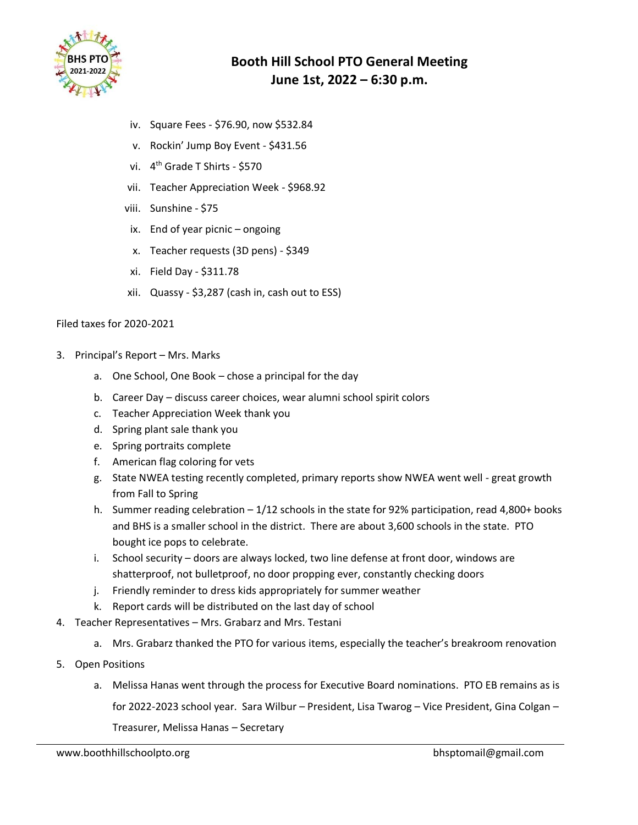

- iv. Square Fees \$76.90, now \$532.84
- v. Rockin' Jump Boy Event \$431.56
- vi. 4<sup>th</sup> Grade T Shirts \$570
- vii. Teacher Appreciation Week \$968.92
- viii. Sunshine \$75
- ix. End of year picnic ongoing
- x. Teacher requests (3D pens) \$349
- xi. Field Day \$311.78
- xii. Quassy \$3,287 (cash in, cash out to ESS)

### Filed taxes for 2020-2021

- 3. Principal's Report Mrs. Marks
	- a. One School, One Book chose a principal for the day
	- b. Career Day discuss career choices, wear alumni school spirit colors
	- c. Teacher Appreciation Week thank you
	- d. Spring plant sale thank you
	- e. Spring portraits complete
	- f. American flag coloring for vets
	- g. State NWEA testing recently completed, primary reports show NWEA went well great growth from Fall to Spring
	- h. Summer reading celebration 1/12 schools in the state for 92% participation, read 4,800+ books and BHS is a smaller school in the district. There are about 3,600 schools in the state. PTO bought ice pops to celebrate.
	- i. School security doors are always locked, two line defense at front door, windows are shatterproof, not bulletproof, no door propping ever, constantly checking doors
	- j. Friendly reminder to dress kids appropriately for summer weather
	- k. Report cards will be distributed on the last day of school
- 4. Teacher Representatives Mrs. Grabarz and Mrs. Testani
	- a. Mrs. Grabarz thanked the PTO for various items, especially the teacher's breakroom renovation
- 5. Open Positions
	- a. Melissa Hanas went through the process for Executive Board nominations. PTO EB remains as is for 2022-2023 school year. Sara Wilbur – President, Lisa Twarog – Vice President, Gina Colgan – Treasurer, Melissa Hanas – Secretary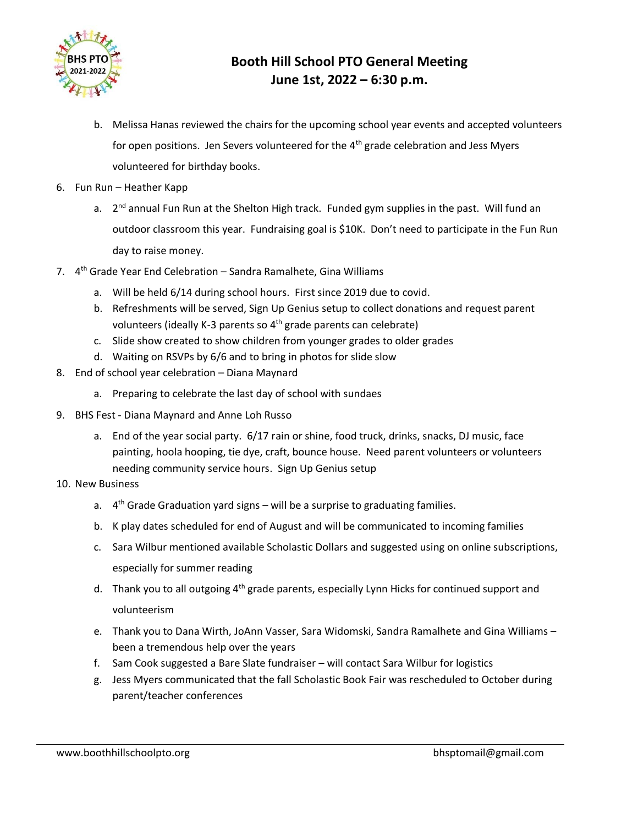

- b. Melissa Hanas reviewed the chairs for the upcoming school year events and accepted volunteers for open positions. Jen Severs volunteered for the  $4<sup>th</sup>$  grade celebration and Jess Myers volunteered for birthday books.
- 6. Fun Run Heather Kapp
	- a. 2<sup>nd</sup> annual Fun Run at the Shelton High track. Funded gym supplies in the past. Will fund an outdoor classroom this year. Fundraising goal is \$10K. Don't need to participate in the Fun Run day to raise money.
- 7. 4<sup>th</sup> Grade Year End Celebration Sandra Ramalhete, Gina Williams
	- a. Will be held 6/14 during school hours. First since 2019 due to covid.
	- b. Refreshments will be served, Sign Up Genius setup to collect donations and request parent volunteers (ideally K-3 parents so 4th grade parents can celebrate)
	- c. Slide show created to show children from younger grades to older grades
	- d. Waiting on RSVPs by 6/6 and to bring in photos for slide slow
- 8. End of school year celebration Diana Maynard
	- a. Preparing to celebrate the last day of school with sundaes
- 9. BHS Fest Diana Maynard and Anne Loh Russo
	- a. End of the year social party. 6/17 rain or shine, food truck, drinks, snacks, DJ music, face painting, hoola hooping, tie dye, craft, bounce house. Need parent volunteers or volunteers needing community service hours. Sign Up Genius setup
- 10. New Business
	- a. 4<sup>th</sup> Grade Graduation yard signs will be a surprise to graduating families.
	- b. K play dates scheduled for end of August and will be communicated to incoming families
	- c. Sara Wilbur mentioned available Scholastic Dollars and suggested using on online subscriptions, especially for summer reading
	- d. Thank you to all outgoing  $4<sup>th</sup>$  grade parents, especially Lynn Hicks for continued support and volunteerism
	- e. Thank you to Dana Wirth, JoAnn Vasser, Sara Widomski, Sandra Ramalhete and Gina Williams been a tremendous help over the years
	- f. Sam Cook suggested a Bare Slate fundraiser will contact Sara Wilbur for logistics
	- g. Jess Myers communicated that the fall Scholastic Book Fair was rescheduled to October during parent/teacher conferences